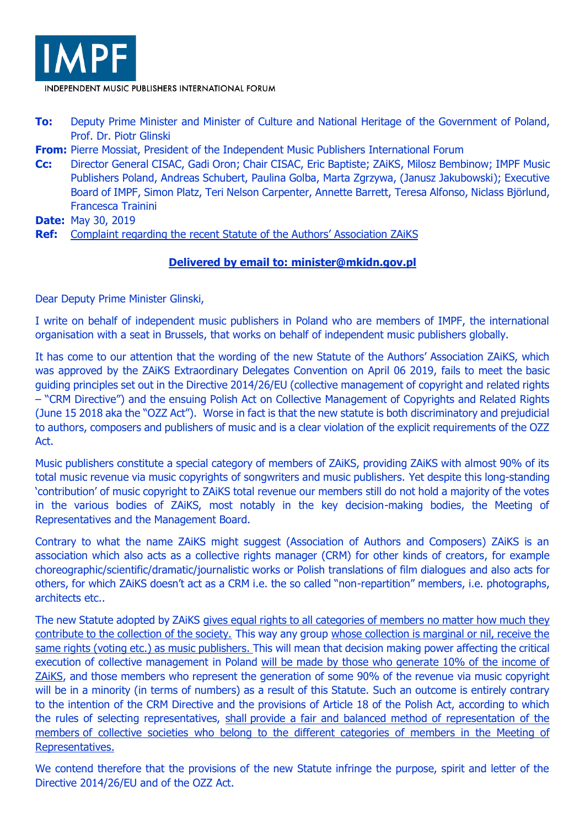

INDEPENDENT MUSIC PUBLISHERS INTERNATIONAL FORUM

- **To:** Deputy Prime Minister and Minister of Culture and National Heritage of the Government of Poland, Prof. Dr. Piotr Glinski
- **From:** Pierre Mossiat, President of the Independent Music Publishers International Forum
- **Cc:** Director General CISAC, Gadi Oron; Chair CISAC, Eric Baptiste; ZAiKS, Milosz Bembinow; IMPF Music Publishers Poland, Andreas Schubert, Paulina Golba, Marta Zgrzywa, (Janusz Jakubowski); Executive Board of IMPF, Simon Platz, Teri Nelson Carpenter, Annette Barrett, Teresa Alfonso, Niclass Björlund, Francesca Trainini
- **Date:** May 30, 2019
- **Ref:** Complaint regarding the recent Statute of the Authors' Association ZAiKS

## **Delivered by email to: [minister@mkidn.gov.pl](mailto:minister@mkidn.gov.pl)**

Dear Deputy Prime Minister Glinski,

I write on behalf of independent music publishers in Poland who are members of IMPF, the international organisation with a seat in Brussels, that works on behalf of independent music publishers globally.

It has come to our attention that the wording of the new Statute of the Authors' Association ZAiKS, which was approved by the ZAiKS Extraordinary Delegates Convention on April 06 2019, fails to meet the basic guiding principles set out in the Directive 2014/26/EU (collective management of copyright and related rights – "CRM Directive") and the ensuing Polish Act on Collective Management of Copyrights and Related Rights (June 15 2018 aka the "OZZ Act"). Worse in fact is that the new statute is both discriminatory and prejudicial to authors, composers and publishers of music and is a clear violation of the explicit requirements of the OZZ Act.

Music publishers constitute a special category of members of ZAiKS, providing ZAiKS with almost 90% of its total music revenue via music copyrights of songwriters and music publishers. Yet despite this long-standing 'contribution' of music copyright to ZAiKS total revenue our members still do not hold a majority of the votes in the various bodies of ZAiKS, most notably in the key decision-making bodies, the Meeting of Representatives and the Management Board.

Contrary to what the name ZAiKS might suggest (Association of Authors and Composers) ZAiKS is an association which also acts as a collective rights manager (CRM) for other kinds of creators, for example choreographic/scientific/dramatic/journalistic works or Polish translations of film dialogues and also acts for others, for which ZAiKS doesn't act as a CRM i.e. the so called "non-repartition" members, i.e. photographs, architects etc..

The new Statute adopted by ZAiKS gives equal rights to all categories of members no matter how much they contribute to the collection of the society. This way any group whose collection is marginal or nil, receive the same rights (voting etc.) as music publishers. This will mean that decision making power affecting the critical execution of collective management in Poland will be made by those who generate 10% of the income of ZAiKS, and those members who represent the generation of some 90% of the revenue via music copyright will be in a minority (in terms of numbers) as a result of this Statute. Such an outcome is entirely contrary to the intention of the CRM Directive and the provisions of Article 18 of the Polish Act, according to which the rules of selecting representatives, shall provide a fair and balanced method of representation of the members of collective societies who belong to the different categories of members in the Meeting of Representatives.

We contend therefore that the provisions of the new Statute infringe the purpose, spirit and letter of the Directive 2014/26/EU and of the OZZ Act.